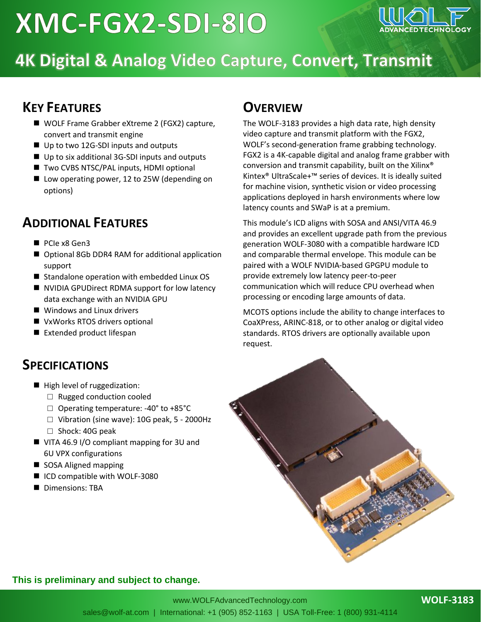# XMC-FGX2-SDI-810



## 4K Digital & Analog Video Capture, Convert, Transmit

### **KEY FEATURES**

- WOLF Frame Grabber eXtreme 2 (FGX2) capture, convert and transmit engine
- Up to two 12G-SDI inputs and outputs
- Up to six additional 3G-SDI inputs and outputs
- Two CVBS NTSC/PAL inputs, HDMI optional
- Low operating power, 12 to 25W (depending on options)

## **ADDITIONAL FEATURES**

- PCIe x8 Gen3
- Optional 8Gb DDR4 RAM for additional application support
- Standalone operation with embedded Linux OS
- NVIDIA GPUDirect RDMA support for low latency data exchange with an NVIDIA GPU
- Windows and Linux drivers
- VxWorks RTOS drivers optional
- Extended product lifespan

### **SPECIFICATIONS**

- High level of ruggedization:
	- □ Rugged conduction cooled
	- $\Box$  Operating temperature: -40° to +85°C
	- $\Box$  Vibration (sine wave): 10G peak, 5 2000Hz
	- □ Shock: 40G peak
- VITA 46.9 I/O compliant mapping for 3U and 6U VPX configurations
- SOSA Aligned mapping
- ICD compatible with WOLF-3080
- Dimensions: TBA

## **OVERVIEW**

The WOLF-3183 provides a high data rate, high density video capture and transmit platform with the FGX2, WOLF's second-generation frame grabbing technology. FGX2 is a 4K-capable digital and analog frame grabber with conversion and transmit capability, built on the Xilinx® Kintex® UltraScale+™ series of devices. It is ideally suited for machine vision, synthetic vision or video processing applications deployed in harsh environments where low latency counts and SWaP is at a premium.

This module's ICD aligns with SOSA and ANSI/VITA 46.9 and provides an excellent upgrade path from the previous generation WOLF-3080 with a compatible hardware ICD and comparable thermal envelope. This module can be paired with a WOLF NVIDIA-based GPGPU module to provide extremely low latency peer-to-peer communication which will reduce CPU overhead when processing or encoding large amounts of data.

MCOTS options include the ability to change interfaces to CoaXPress, ARINC-818, or to other analog or digital video standards. RTOS drivers are optionally available upon request.



#### **This is preliminary and subject to change.**

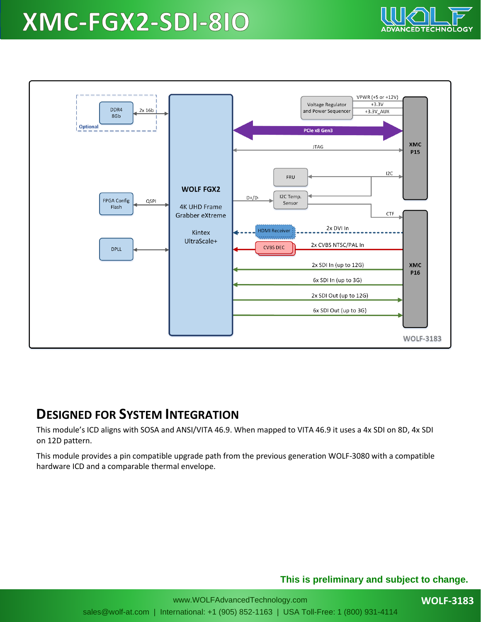## XMC-FGX2-SDI-810



### **DESIGNED FOR SYSTEM INTEGRATION**

This module's ICD aligns with SOSA and ANSI/VITA 46.9. When mapped to VITA 46.9 it uses a 4x SDI on 8D, 4x SDI on 12D pattern.

This module provides a pin compatible upgrade path from the previous generation WOLF-3080 with a compatible hardware ICD and a comparable thermal envelope.

#### **This is preliminary and subject to change.**

**CHNOLOG**